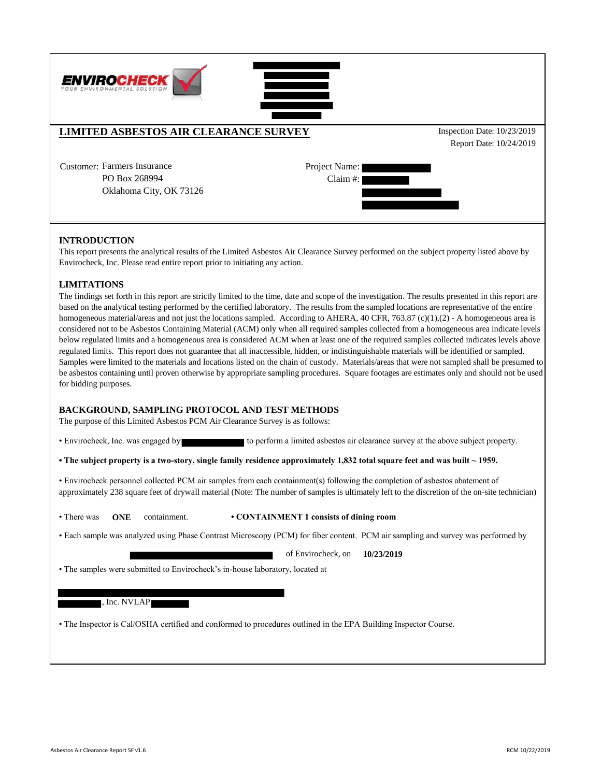

## **INTRODUCTION**

This report presents the analytical results of the Limited Asbestos Air Clearance Survey performed on the subject property listed above by Envirocheck, Inc. Please read entire report prior to initiating any action.

### **LIMITATIONS**

The findings set forth in this report are strictly limited to the time, date and scope of the investigation. The results presented in this report are based on the analytical testing performed by the certified laboratory. The results from the sampled locations are representative of the entire homogeneous material/areas and not just the locations sampled. According to AHERA, 40 CFR, 763.87 (c)(1),(2) - A homogeneous area is considered not to be Asbestos Containing Material (ACM) only when all required samples collected from a homogeneous area indicate levels below regulated limits and a homogeneous area is considered ACM when at least one of the required samples collected indicates levels above regulated limits. This report does not guarantee that all inaccessible, hidden, or indistinguishable materials will be identified or sampled. Samples were limited to the materials and locations listed on the chain of custody. Materials/areas that were not sampled shall be presumed to be asbestos containing until proven otherwise by appropriate sampling procedures. Square footages are estimates only and should not be used for bidding purposes.

### **BACKGROUND, SAMPLING PROTOCOL AND TEST METHODS**

The purpose of this Limited Asbestos PCM Air Clearance Survey is as follows:

• Envirocheck, Inc. was engaged by to perform a limited asbestos air clearance survey at the above subject property.

**• The subject property is a two-story, single family residence approximately 1,832 total square feet and was built ~ 1959.** 

• Envirocheck personnel collected PCM air samples from each containment(s) following the completion of asbestos abatement of approximately 238 square feet of drywall material (Note: The number of samples is ultimately left to the discretion of the on-site technician)

- There was **ONE** containment.
- **CONTAINMENT 1 consists of dining room**
- Each sample was analyzed using Phase Contrast Microscopy (PCM) for fiber content. PCM air sampling and survey was performed by

**10/23/2019** of Envirocheck, on

• The samples were submitted to Envirocheck's in-house laboratory, located at

#### , Inc. NVLAP

• The Inspector is Cal/OSHA certified and conformed to procedures outlined in the EPA Building Inspector Course.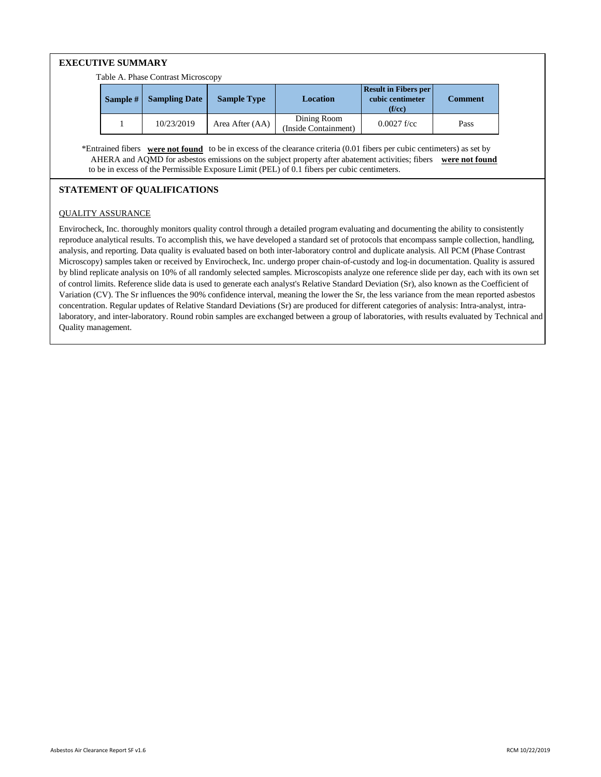# **EXECUTIVE SUMMARY**

Table A. Phase Contrast Microscopy

| Sample # | <b>Sampling Date</b> | <b>Sample Type</b> | Location                            | <b>Result in Fibers per</b><br>cubic centimeter<br>(f/cc) | Comment |  |  |
|----------|----------------------|--------------------|-------------------------------------|-----------------------------------------------------------|---------|--|--|
|          | 10/23/2019           | Area After (AA)    | Dining Room<br>(Inside Containment) | $0.0027$ f/cc                                             | Pass    |  |  |

 AHERA and AQMD for asbestos emissions on the subject property after abatement activities; fibers **were not found** to be in excess of the Permissible Exposure Limit (PEL) of 0.1 fibers per cubic centimeters. \*Entrained fibers **were not found** to be in excess of the clearance criteria (0.01 fibers per cubic centimeters) as set by

# **STATEMENT OF QUALIFICATIONS**

## QUALITY ASSURANCE

Envirocheck, Inc. thoroughly monitors quality control through a detailed program evaluating and documenting the ability to consistently reproduce analytical results. To accomplish this, we have developed a standard set of protocols that encompass sample collection, handling, analysis, and reporting. Data quality is evaluated based on both inter-laboratory control and duplicate analysis. All PCM (Phase Contrast Microscopy) samples taken or received by Envirocheck, Inc. undergo proper chain-of-custody and log-in documentation. Quality is assured by blind replicate analysis on 10% of all randomly selected samples. Microscopists analyze one reference slide per day, each with its own set of control limits. Reference slide data is used to generate each analyst's Relative Standard Deviation (Sr), also known as the Coefficient of Variation (CV). The Sr influences the 90% confidence interval, meaning the lower the Sr, the less variance from the mean reported asbestos concentration. Regular updates of Relative Standard Deviations (Sr) are produced for different categories of analysis: Intra-analyst, intralaboratory, and inter-laboratory. Round robin samples are exchanged between a group of laboratories, with results evaluated by Technical and Quality management.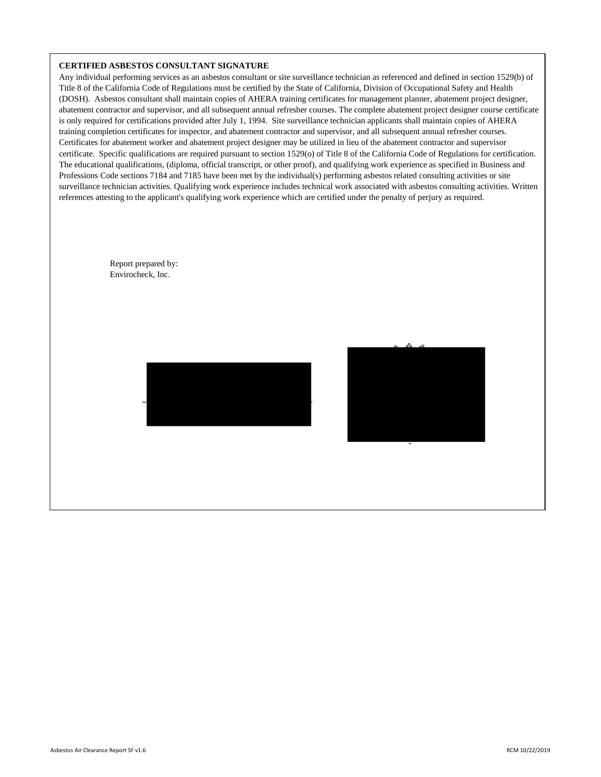#### **CERTIFIED ASBESTOS CONSULTANT SIGNATURE**

 Report prepared by: Envirocheck, Inc.

Any individual performing services as an asbestos consultant or site surveillance technician as referenced and defined in section 1529(b) of Title 8 of the California Code of Regulations must be certified by the State of California, Division of Occupational Safety and Health (DOSH). Asbestos consultant shall maintain copies of AHERA training certificates for management planner, abatement project designer, abatement contractor and supervisor, and all subsequent annual refresher courses. The complete abatement project designer course certificate is only required for certifications provided after July 1, 1994. Site surveillance technician applicants shall maintain copies of AHERA training completion certificates for inspector, and abatement contractor and supervisor, and all subsequent annual refresher courses. Certificates for abatement worker and abatement project designer may be utilized in lieu of the abatement contractor and supervisor certificate. Specific qualifications are required pursuant to section 1529(o) of Title 8 of the California Code of Regulations for certification. The educational qualifications, (diploma, official transcript, or other proof), and qualifying work experience as specified in Business and Professions Code sections 7184 and 7185 have been met by the individual(s) performing asbestos related consulting activities or site surveillance technician activities. Qualifying work experience includes technical work associated with asbestos consulting activities. Written references attesting to the applicant's qualifying work experience which are certified under the penalty of perjury as required.



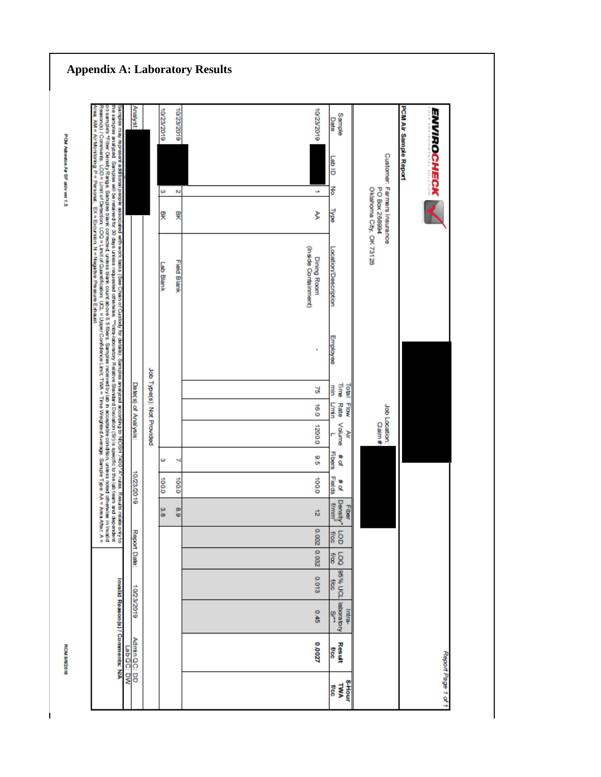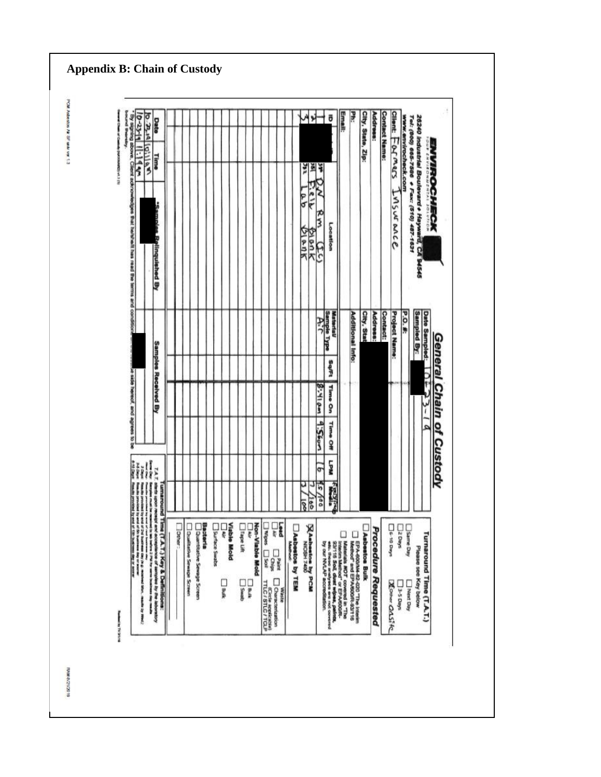| gning apove,                                 | $33 - 6$                                                                                                                                                                                                                                                                                                                                                                                                                              | <b>DITE</b> O                                                     | Date                                   |        |                           |                                        |                    |                    |               |                      |                       |                                                               |             |                 |                                         | 놔                   | ō                                                                                                                                       | <b>Email:</b> | ¥                                                                | City, State, Zip: | Address:            | <b>Contact Name:</b> | Ω<br>lient:          |                              |                                                                         |                          |                      |
|----------------------------------------------|---------------------------------------------------------------------------------------------------------------------------------------------------------------------------------------------------------------------------------------------------------------------------------------------------------------------------------------------------------------------------------------------------------------------------------------|-------------------------------------------------------------------|----------------------------------------|--------|---------------------------|----------------------------------------|--------------------|--------------------|---------------|----------------------|-----------------------|---------------------------------------------------------------|-------------|-----------------|-----------------------------------------|---------------------|-----------------------------------------------------------------------------------------------------------------------------------------|---------------|------------------------------------------------------------------|-------------------|---------------------|----------------------|----------------------|------------------------------|-------------------------------------------------------------------------|--------------------------|----------------------|
| <b>IST LANDRA</b>                            | $\frac{1}{2}$                                                                                                                                                                                                                                                                                                                                                                                                                         | 19:11 0.4                                                         | Time                                   |        |                           |                                        |                    |                    |               |                      |                       |                                                               |             |                 | 기원                                      |                     |                                                                                                                                         |               |                                                                  |                   |                     |                      | FOLMER               | www.envirocheck.com          | Tel: (800) 665-7586                                                     |                          | <b>VIROCHI</b>       |
| Client acknowledges that helistielt has read |                                                                                                                                                                                                                                                                                                                                                                                                                                       |                                                                   | <b>Samoles Relinquished By</b>         |        |                           |                                        |                    |                    |               |                      |                       |                                                               |             |                 | ĉ<br>۴<br>σ<br>ᢑ<br><b>SIGNK</b><br>アコ大 | ۴                   | Location                                                                                                                                |               |                                                                  |                   |                     |                      | MSUR OUCE            |                              | 26240 Industrial Boulevard + Hayward, CA 94545<br>+ Fax: (510) 487-1631 |                          | <b>Rox</b>           |
| the terms and condition                      |                                                                                                                                                                                                                                                                                                                                                                                                                                       |                                                                   |                                        |        |                           |                                        |                    |                    |               |                      |                       |                                                               |             |                 |                                         |                     | Sample Type<br>Material                                                                                                                 |               | Additional Info:                                                 | City, Stai        | Address:            | <b>Contact:</b>      | <b>Project Name:</b> | <b>P.O. #:</b>               | <b>Sampled By:</b>                                                      | <b>Date Sampled:</b>     |                      |
|                                              |                                                                                                                                                                                                                                                                                                                                                                                                                                       |                                                                   |                                        |        |                           |                                        |                    |                    |               |                      |                       |                                                               |             |                 |                                         |                     | Sqift                                                                                                                                   |               |                                                                  |                   |                     |                      |                      |                              |                                                                         |                          |                      |
|                                              |                                                                                                                                                                                                                                                                                                                                                                                                                                       |                                                                   | <b>Samples Received By</b>             |        |                           |                                        |                    |                    |               |                      |                       |                                                               |             |                 |                                         | 8:410m              | <b>Time</b><br>g                                                                                                                        |               |                                                                  |                   |                     |                      |                      |                              |                                                                         | ٠ř                       | <b>General Chain</b> |
| hereof, and agrees to                        |                                                                                                                                                                                                                                                                                                                                                                                                                                       |                                                                   |                                        |        |                           |                                        |                    |                    |               |                      |                       |                                                               |             |                 |                                         | 9.5604              | Time Off                                                                                                                                |               |                                                                  |                   |                     |                      |                      |                              |                                                                         |                          | Q                    |
|                                              | H                                                                                                                                                                                                                                                                                                                                                                                                                                     |                                                                   | 7.9.7                                  |        |                           |                                        |                    |                    |               |                      |                       |                                                               |             |                 |                                         | $\overline{g}$      | Well                                                                                                                                    |               |                                                                  |                   |                     |                      |                      |                              |                                                                         |                          | Custody              |
|                                              |                                                                                                                                                                                                                                                                                                                                                                                                                                       |                                                                   | 花美味<br>Lum                             |        |                           |                                        |                    |                    |               |                      |                       |                                                               |             |                 | u<br>Þ<br>$\frac{1}{8}$                 | $5\frac{1}{2}$<br>ğ | 龗<br>最                                                                                                                                  |               |                                                                  |                   |                     |                      |                      |                              |                                                                         |                          |                      |
| moose to your of 19th business and to secure | $\label{eq:2.1} \begin{split} \text{where } \mathbf{u}_i = \mathbf{u}_i = \mathbf{u}_i = \mathbf{u}_i = \mathbf{u}_i = \mathbf{u}_i = \mathbf{u}_i = \mathbf{u}_i = \mathbf{u}_i = \mathbf{u}_i = \mathbf{u}_i = \mathbf{u}_i = \mathbf{u}_i = \mathbf{u}_i = \mathbf{u}_i = \mathbf{u}_i = \mathbf{u}_i = \mathbf{u}_i = \mathbf{u}_i = \mathbf{u}_i = \mathbf{u}_i = \mathbf{u}_i = \mathbf{u}_i = \mathbf{u}_i = \mathbf{u}_i = \$ | upor receiving and acceptance of samples by the about opportunity | round Time (T.A.T.) Key & Definitions: | Deher: | Dualitative Sewage Screen | Bacteria<br>Quantitative Sewage Screen | Surface Swatz<br>ķ | <b>Viable Mold</b> | Tape Lift     | Non-Viable Mold<br>ŗ | <b>BNDRS</b> [] Solid | ķ<br>$\square_{\mathsf{Chip}}^{\mathsf{PMS}}$                 | <b>Pact</b> | Asbestos by TEM | <b>AA</b> beetoe by PCM                 |                     |                                                                                                                                         |               |                                                                  | Asbestos Bulk     |                     |                      | List 10 Days         | Same Day<br>300 <sub>5</sub> |                                                                         |                          |                      |
| British Walnut                               | Ì<br>Cover 40 May                                                                                                                                                                                                                                                                                                                                                                                                                     |                                                                   |                                        |        |                           |                                        | ∏<br>}             |                    | $v_{\rm max}$ | Dank                 |                       | Characterization<br>Ficiele applicatie)<br>TTLC / STLC / TCLP | sissile     |                 |                                         |                     | Malendak MOT covered in The<br>priori Solid of " EPA/SOOR",<br>correspondent of the Sources of the Sources<br>extends the second lines. |               | EPA-600/M4-82-020 "The Interim<br>- Nethod" and EPA/600/R-801116 |                   | Procedure Requested |                      | <b>Zoner OAS! KC</b> | SARD S-E                     | Please see Key below<br>Next Day                                        | Turnaround Time (T.A.T.) |                      |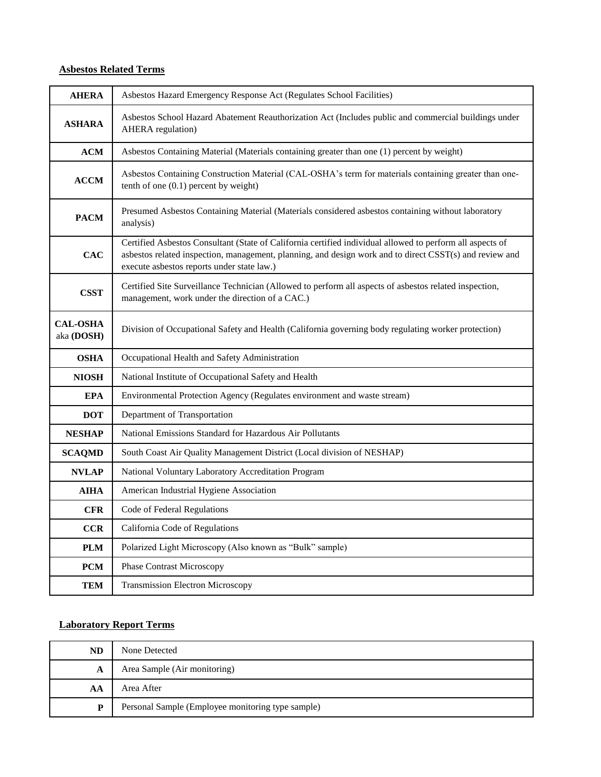# **Asbestos Related Terms**

| <b>AHERA</b>                  | Asbestos Hazard Emergency Response Act (Regulates School Facilities)                                                                                                                                                                                               |
|-------------------------------|--------------------------------------------------------------------------------------------------------------------------------------------------------------------------------------------------------------------------------------------------------------------|
| <b>ASHARA</b>                 | Asbestos School Hazard Abatement Reauthorization Act (Includes public and commercial buildings under<br><b>AHERA</b> regulation)                                                                                                                                   |
| ACM                           | Asbestos Containing Material (Materials containing greater than one (1) percent by weight)                                                                                                                                                                         |
| <b>ACCM</b>                   | Asbestos Containing Construction Material (CAL-OSHA's term for materials containing greater than one-<br>tenth of one $(0.1)$ percent by weight)                                                                                                                   |
| <b>PACM</b>                   | Presumed Asbestos Containing Material (Materials considered asbestos containing without laboratory<br>analysis)                                                                                                                                                    |
| CAC                           | Certified Asbestos Consultant (State of California certified individual allowed to perform all aspects of<br>asbestos related inspection, management, planning, and design work and to direct CSST(s) and review and<br>execute asbestos reports under state law.) |
| <b>CSST</b>                   | Certified Site Surveillance Technician (Allowed to perform all aspects of asbestos related inspection,<br>management, work under the direction of a CAC.)                                                                                                          |
| <b>CAL-OSHA</b><br>aka (DOSH) | Division of Occupational Safety and Health (California governing body regulating worker protection)                                                                                                                                                                |
| <b>OSHA</b>                   | Occupational Health and Safety Administration                                                                                                                                                                                                                      |
| <b>NIOSH</b>                  | National Institute of Occupational Safety and Health                                                                                                                                                                                                               |
| <b>EPA</b>                    | Environmental Protection Agency (Regulates environment and waste stream)                                                                                                                                                                                           |
| <b>DOT</b>                    | Department of Transportation                                                                                                                                                                                                                                       |
| <b>NESHAP</b>                 | National Emissions Standard for Hazardous Air Pollutants                                                                                                                                                                                                           |
| <b>SCAQMD</b>                 | South Coast Air Quality Management District (Local division of NESHAP)                                                                                                                                                                                             |
| <b>NVLAP</b>                  | National Voluntary Laboratory Accreditation Program                                                                                                                                                                                                                |
| <b>AIHA</b>                   | American Industrial Hygiene Association                                                                                                                                                                                                                            |
| <b>CFR</b>                    | Code of Federal Regulations                                                                                                                                                                                                                                        |
| <b>CCR</b>                    | California Code of Regulations                                                                                                                                                                                                                                     |
| <b>PLM</b>                    | Polarized Light Microscopy (Also known as "Bulk" sample)                                                                                                                                                                                                           |
| <b>PCM</b>                    | <b>Phase Contrast Microscopy</b>                                                                                                                                                                                                                                   |
| <b>TEM</b>                    | <b>Transmission Electron Microscopy</b>                                                                                                                                                                                                                            |

# **Laboratory Report Terms**

| <b>ND</b> | None Detected                                     |  |  |  |  |  |  |
|-----------|---------------------------------------------------|--|--|--|--|--|--|
| A         | Area Sample (Air monitoring)                      |  |  |  |  |  |  |
| AA        | Area After                                        |  |  |  |  |  |  |
| D         | Personal Sample (Employee monitoring type sample) |  |  |  |  |  |  |